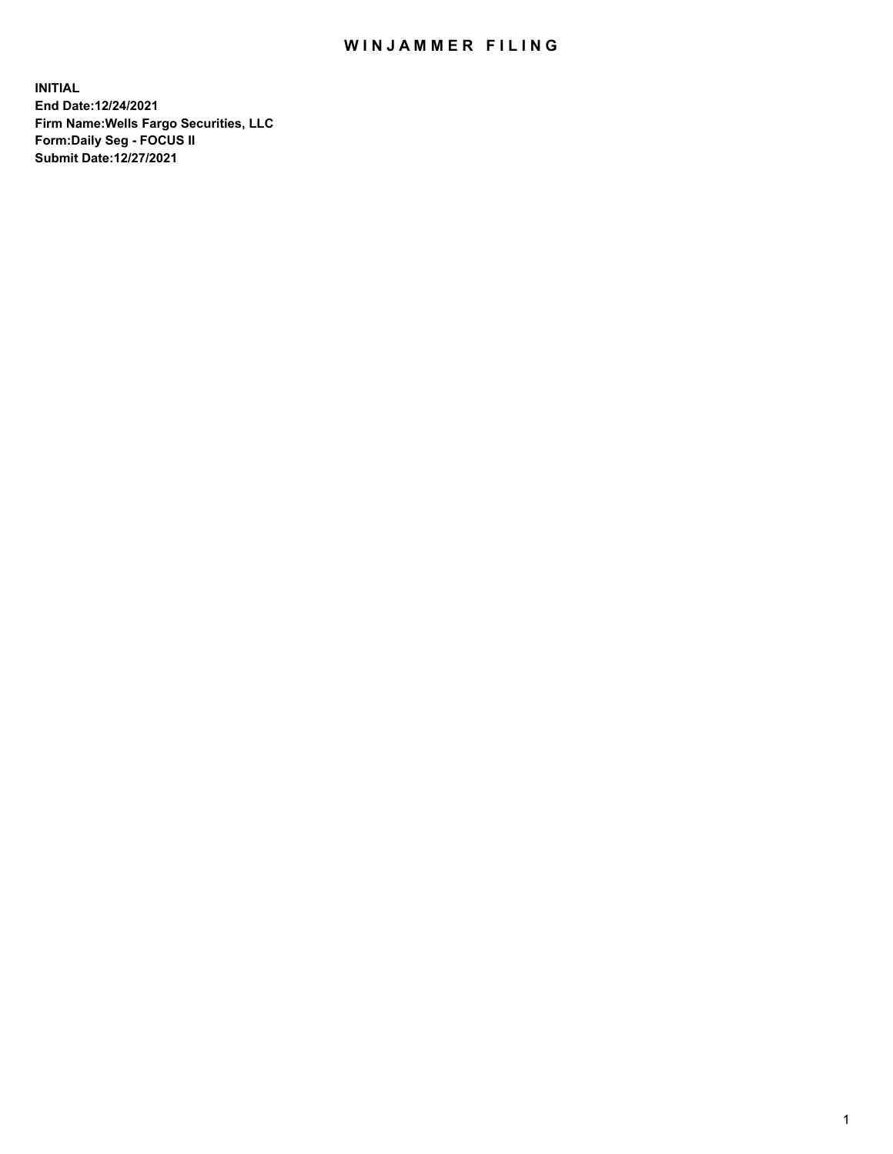## WIN JAMMER FILING

**INITIAL End Date:12/24/2021 Firm Name:Wells Fargo Securities, LLC Form:Daily Seg - FOCUS II Submit Date:12/27/2021**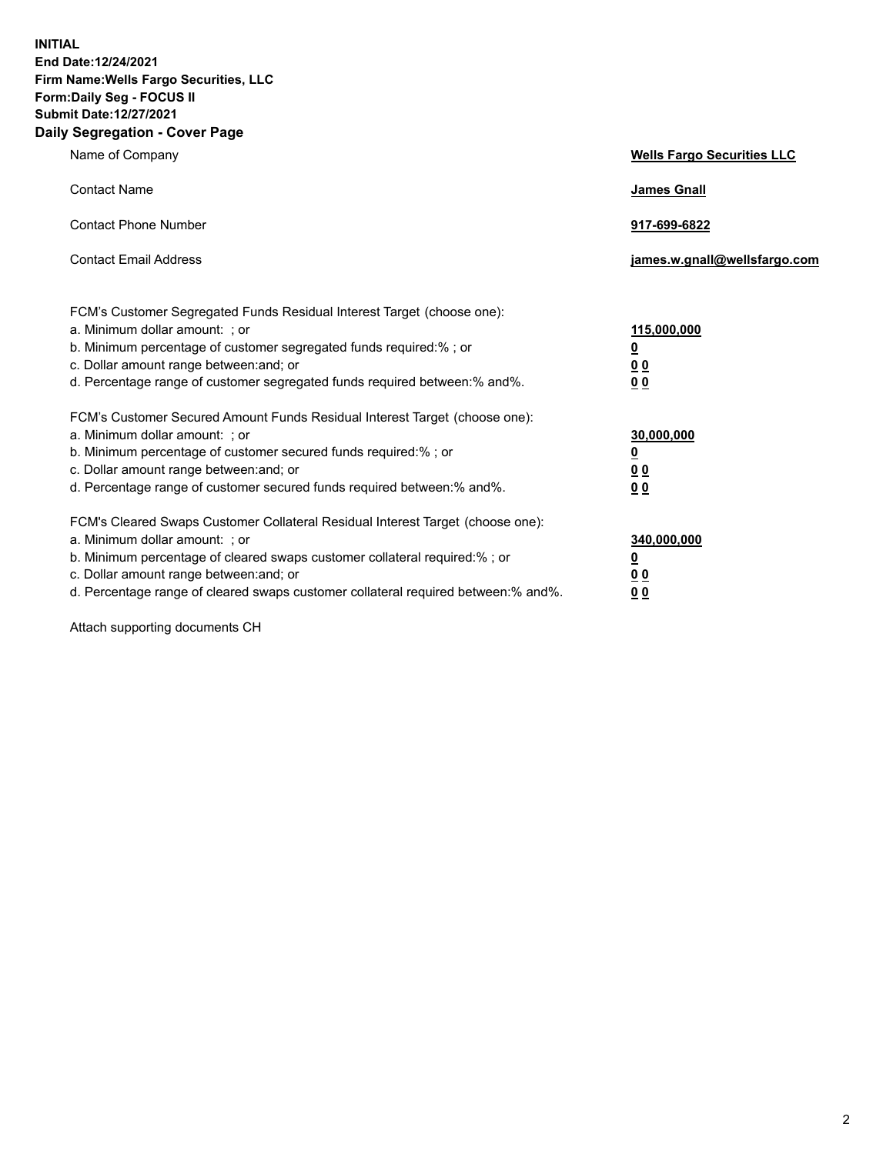**INITIAL End Date:12/24/2021 Firm Name:Wells Fargo Securities, LLC Form:Daily Seg - FOCUS II Submit Date:12/27/2021 Daily Segregation - Cover Page**

| Name of Company                                                                                                                                                                                                                                                                                                                | <b>Wells Fargo Securities LLC</b>                          |
|--------------------------------------------------------------------------------------------------------------------------------------------------------------------------------------------------------------------------------------------------------------------------------------------------------------------------------|------------------------------------------------------------|
| <b>Contact Name</b>                                                                                                                                                                                                                                                                                                            | <b>James Gnall</b>                                         |
| <b>Contact Phone Number</b>                                                                                                                                                                                                                                                                                                    | 917-699-6822                                               |
| <b>Contact Email Address</b>                                                                                                                                                                                                                                                                                                   | james.w.gnall@wellsfargo.com                               |
| FCM's Customer Segregated Funds Residual Interest Target (choose one):<br>a. Minimum dollar amount: ; or<br>b. Minimum percentage of customer segregated funds required:% ; or<br>c. Dollar amount range between: and; or<br>d. Percentage range of customer segregated funds required between:% and%.                         | 115,000,000<br><u>0</u><br><u>00</u><br>0 <sub>0</sub>     |
| FCM's Customer Secured Amount Funds Residual Interest Target (choose one):<br>a. Minimum dollar amount: ; or<br>b. Minimum percentage of customer secured funds required:% ; or<br>c. Dollar amount range between: and; or<br>d. Percentage range of customer secured funds required between: % and %.                         | 30,000,000<br><u>0</u><br>0 <sub>0</sub><br>0 <sub>0</sub> |
| FCM's Cleared Swaps Customer Collateral Residual Interest Target (choose one):<br>a. Minimum dollar amount: ; or<br>b. Minimum percentage of cleared swaps customer collateral required:% ; or<br>c. Dollar amount range between: and; or<br>d. Percentage range of cleared swaps customer collateral required between:% and%. | 340,000,000<br><u>0</u><br>0 Q<br><u>00</u>                |

Attach supporting documents CH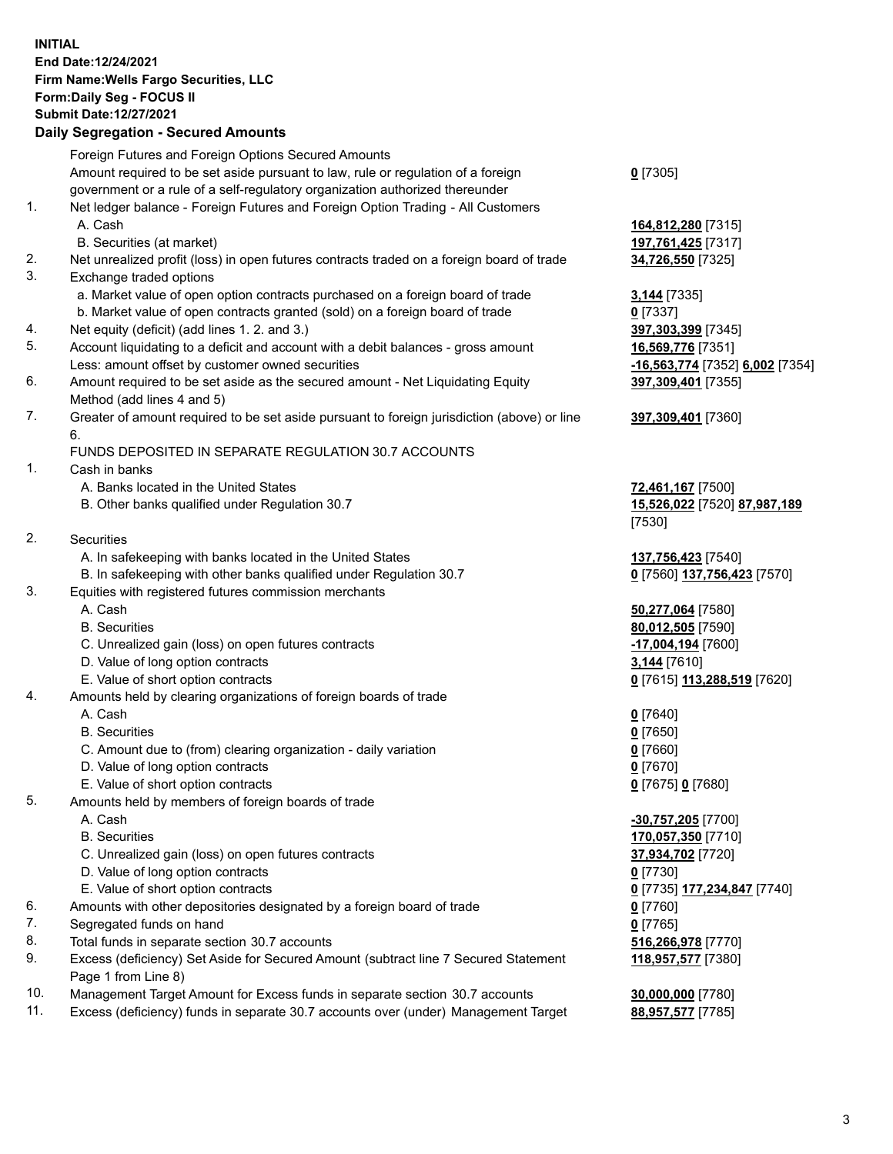**INITIAL End Date:12/24/2021 Firm Name:Wells Fargo Securities, LLC Form:Daily Seg - FOCUS II Submit Date:12/27/2021**

## **Daily Segregation - Secured Amounts**

|     | Foreign Futures and Foreign Options Secured Amounts                                         |                                                   |
|-----|---------------------------------------------------------------------------------------------|---------------------------------------------------|
|     | Amount required to be set aside pursuant to law, rule or regulation of a foreign            | $0$ [7305]                                        |
|     | government or a rule of a self-regulatory organization authorized thereunder                |                                                   |
| 1.  | Net ledger balance - Foreign Futures and Foreign Option Trading - All Customers             |                                                   |
|     | A. Cash                                                                                     | 164,812,280 [7315]                                |
|     | B. Securities (at market)                                                                   | 197,761,425 [7317]                                |
| 2.  | Net unrealized profit (loss) in open futures contracts traded on a foreign board of trade   | 34,726,550 [7325]                                 |
| 3.  | Exchange traded options                                                                     |                                                   |
|     | a. Market value of open option contracts purchased on a foreign board of trade              | 3,144 [7335]                                      |
|     | b. Market value of open contracts granted (sold) on a foreign board of trade                | $0$ [7337]                                        |
| 4.  | Net equity (deficit) (add lines 1. 2. and 3.)                                               | 397,303,399 [7345]                                |
| 5.  | Account liquidating to a deficit and account with a debit balances - gross amount           | 16,569,776 [7351]                                 |
|     | Less: amount offset by customer owned securities                                            | -16,563,774 [7352] 6,002 [7354]                   |
| 6.  | Amount required to be set aside as the secured amount - Net Liquidating Equity              | 397,309,401 [7355]                                |
|     | Method (add lines 4 and 5)                                                                  |                                                   |
| 7.  | Greater of amount required to be set aside pursuant to foreign jurisdiction (above) or line | 397,309,401 [7360]                                |
|     | 6.                                                                                          |                                                   |
|     | FUNDS DEPOSITED IN SEPARATE REGULATION 30.7 ACCOUNTS                                        |                                                   |
| 1.  | Cash in banks                                                                               |                                                   |
|     | A. Banks located in the United States                                                       | 72,461,167 [7500]                                 |
|     | B. Other banks qualified under Regulation 30.7                                              | 15,526,022 [7520] 87,987,189                      |
|     |                                                                                             | [7530]                                            |
| 2.  | Securities                                                                                  |                                                   |
|     | A. In safekeeping with banks located in the United States                                   | 137,756,423 [7540]                                |
|     | B. In safekeeping with other banks qualified under Regulation 30.7                          | 0 [7560] 137,756,423 [7570]                       |
| 3.  | Equities with registered futures commission merchants                                       |                                                   |
|     | A. Cash                                                                                     | 50,277,064 [7580]                                 |
|     | <b>B.</b> Securities                                                                        | 80,012,505 [7590]                                 |
|     | C. Unrealized gain (loss) on open futures contracts                                         | -17,004,194 [7600]                                |
|     | D. Value of long option contracts                                                           | 3,144 [7610]                                      |
|     | E. Value of short option contracts                                                          | 0 [7615] 113,288,519 [7620]                       |
| 4.  | Amounts held by clearing organizations of foreign boards of trade                           |                                                   |
|     | A. Cash                                                                                     | $0$ [7640]                                        |
|     | <b>B.</b> Securities                                                                        | $0$ [7650]                                        |
|     | C. Amount due to (from) clearing organization - daily variation                             | $0$ [7660]                                        |
|     | D. Value of long option contracts                                                           | $0$ [7670]                                        |
|     | E. Value of short option contracts                                                          | 0 [7675] 0 [7680]                                 |
| 5.  | Amounts held by members of foreign boards of trade                                          |                                                   |
|     | A. Cash                                                                                     | -30,757,205 [7700]                                |
|     | <b>B.</b> Securities                                                                        | 170,057,350 [7710]                                |
|     | C. Unrealized gain (loss) on open futures contracts                                         | 37,934,702 [7720]                                 |
|     | D. Value of long option contracts                                                           | $0$ [7730]                                        |
|     | E. Value of short option contracts                                                          | 0 <sup>[7735]</sup> 177,234,847 <sup>[7740]</sup> |
| 6.  | Amounts with other depositories designated by a foreign board of trade                      | $0$ [7760]                                        |
| 7.  | Segregated funds on hand                                                                    | $0$ [7765]                                        |
| 8.  | Total funds in separate section 30.7 accounts                                               | 516,266,978 [7770]                                |
| 9.  | Excess (deficiency) Set Aside for Secured Amount (subtract line 7 Secured Statement         | 118,957,577 [7380]                                |
|     | Page 1 from Line 8)                                                                         |                                                   |
| 10. | Management Target Amount for Excess funds in separate section 30.7 accounts                 | 30,000,000 [7780]                                 |
|     |                                                                                             |                                                   |

11. Excess (deficiency) funds in separate 30.7 accounts over (under) Management Target **88,957,577** [7785]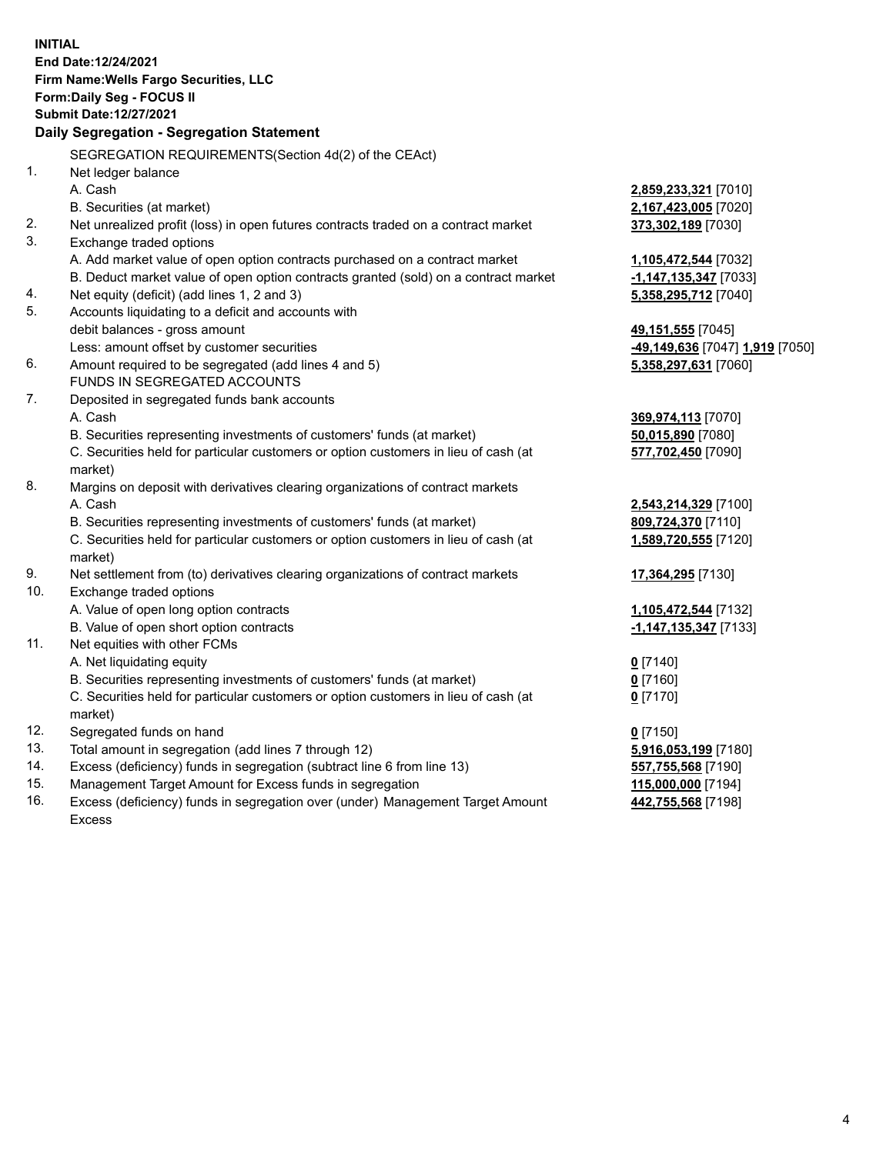**INITIAL End Date:12/24/2021 Firm Name:Wells Fargo Securities, LLC Form:Daily Seg - FOCUS II Submit Date:12/27/2021 Daily Segregation - Segregation Statement** SEGREGATION REQUIREMENTS(Section 4d(2) of the CEAct) 1. Net ledger balance A. Cash **2,859,233,321** [7010] B. Securities (at market) **2,167,423,005** [7020] 2. Net unrealized profit (loss) in open futures contracts traded on a contract market **373,302,189** [7030] 3. Exchange traded options A. Add market value of open option contracts purchased on a contract market **1,105,472,544** [7032] B. Deduct market value of open option contracts granted (sold) on a contract market **-1,147,135,347** [7033] 4. Net equity (deficit) (add lines 1, 2 and 3) **5,358,295,712** [7040] 5. Accounts liquidating to a deficit and accounts with debit balances - gross amount **49,151,555** [7045] Less: amount offset by customer securities **-49,149,636** [7047] **1,919** [7050] 6. Amount required to be segregated (add lines 4 and 5) **5,358,297,631** [7060] FUNDS IN SEGREGATED ACCOUNTS 7. Deposited in segregated funds bank accounts A. Cash **369,974,113** [7070] B. Securities representing investments of customers' funds (at market) **50,015,890** [7080] C. Securities held for particular customers or option customers in lieu of cash (at market) **577,702,450** [7090] 8. Margins on deposit with derivatives clearing organizations of contract markets A. Cash **2,543,214,329** [7100] B. Securities representing investments of customers' funds (at market) **809,724,370** [7110] C. Securities held for particular customers or option customers in lieu of cash (at market) **1,589,720,555** [7120] 9. Net settlement from (to) derivatives clearing organizations of contract markets **17,364,295** [7130] 10. Exchange traded options A. Value of open long option contracts **1,105,472,544** [7132] B. Value of open short option contracts **-1,147,135,347** [7133] 11. Net equities with other FCMs A. Net liquidating equity **0** [7140] B. Securities representing investments of customers' funds (at market) **0** [7160] C. Securities held for particular customers or option customers in lieu of cash (at market) **0** [7170] 12. Segregated funds on hand **0** [7150]

- 13. Total amount in segregation (add lines 7 through 12) **5,916,053,199** [7180]
- 14. Excess (deficiency) funds in segregation (subtract line 6 from line 13) **557,755,568** [7190]
- 15. Management Target Amount for Excess funds in segregation **115,000,000** [7194]
- 16. Excess (deficiency) funds in segregation over (under) Management Target Amount Excess

**442,755,568** [7198]